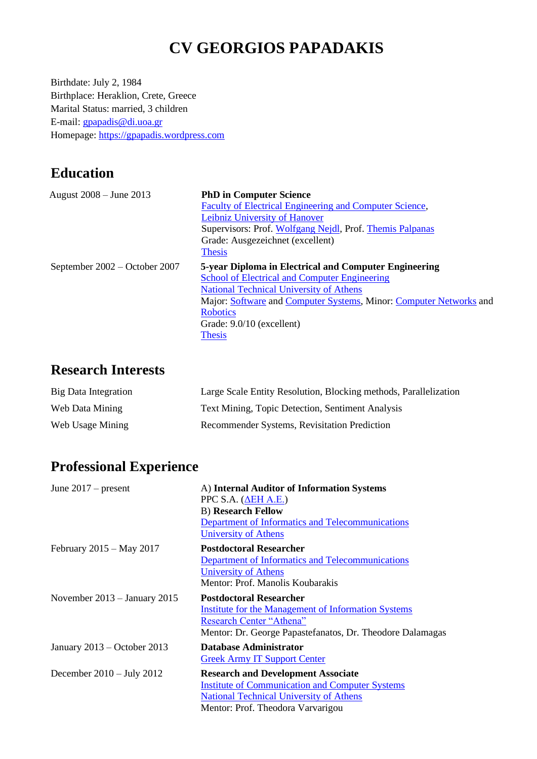# **CV GEORGIOS PAPADAKIS**

Birthdate: July 2, 1984 Birthplace: Heraklion, Crete, Greece Marital Status: married, 3 children E-mail: [gpapadis@di.uoa.gr](mailto:gpapadis@di.uoa.gr) Homepage: [https://gpapadis.wordpress.com](https://gpapadis.wordpress.com/)

# **Education**

| August 2008 – June 2013       | <b>PhD in Computer Science</b>                                     |
|-------------------------------|--------------------------------------------------------------------|
|                               | Faculty of Electrical Engineering and Computer Science,            |
|                               | Leibniz University of Hanover                                      |
|                               | Supervisors: Prof. Wolfgang Nejdl, Prof. Themis Palpanas           |
|                               | Grade: Ausgezeichnet (excellent)                                   |
|                               | <b>Thesis</b>                                                      |
| September 2002 – October 2007 | 5-year Diploma in Electrical and Computer Engineering              |
|                               | School of Electrical and Computer Engineering                      |
|                               | <b>National Technical University of Athens</b>                     |
|                               | Major: Software and Computer Systems, Minor: Computer Networks and |
|                               | <b>Robotics</b>                                                    |
|                               | Grade: 9.0/10 (excellent)                                          |
|                               | <b>Thesis</b>                                                      |

### **Research Interests**

| Big Data Integration | Large Scale Entity Resolution, Blocking methods, Parallelization |
|----------------------|------------------------------------------------------------------|
| Web Data Mining      | <b>Text Mining, Topic Detection, Sentiment Analysis</b>          |
| Web Usage Mining     | Recommender Systems, Revisitation Prediction                     |

# **Professional Experience**

| June $2017$ – present          | A) Internal Auditor of Information Systems                |
|--------------------------------|-----------------------------------------------------------|
|                                | PPC S.A. $(\Delta EH A.E.)$                               |
|                                | <b>B</b> ) Research Fellow                                |
|                                | Department of Informatics and Telecommunications          |
|                                | University of Athens                                      |
| February $2015 - May 2017$     | <b>Postdoctoral Researcher</b>                            |
|                                | Department of Informatics and Telecommunications          |
|                                | University of Athens                                      |
|                                | Mentor: Prof. Manolis Koubarakis                          |
| November $2013 - January 2015$ | <b>Postdoctoral Researcher</b>                            |
|                                | Institute for the Management of Information Systems       |
|                                | <b>Research Center "Athena"</b>                           |
|                                | Mentor: Dr. George Papastefanatos, Dr. Theodore Dalamagas |
| January $2013 -$ October 2013  | Database Administrator                                    |
|                                | <b>Greek Army IT Support Center</b>                       |
| December $2010 - July 2012$    | <b>Research and Development Associate</b>                 |
|                                | <b>Institute of Communication and Computer Systems</b>    |
|                                | <b>National Technical University of Athens</b>            |
|                                | Mentor: Prof. Theodora Varvarigou                         |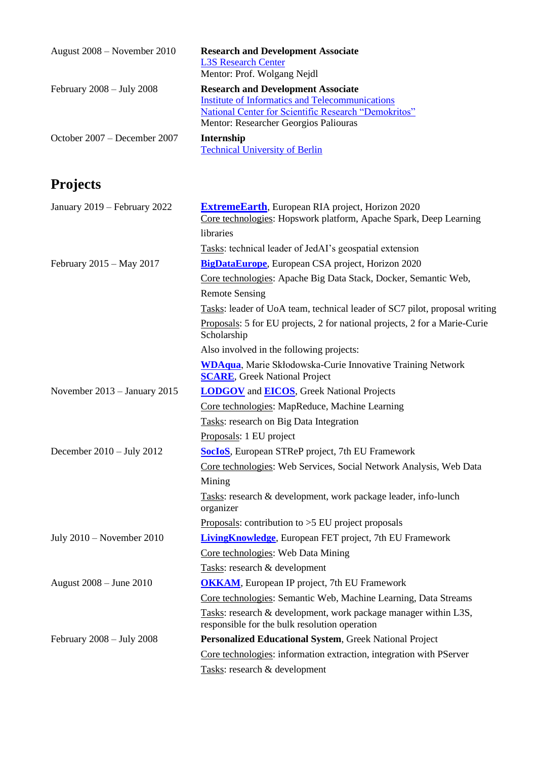| August $2008$ – November 2010       | <b>Research and Development Associate</b><br><b>L3S Research Center</b><br>Mentor: Prof. Wolgang Nejdl                                                                                               |
|-------------------------------------|------------------------------------------------------------------------------------------------------------------------------------------------------------------------------------------------------|
| February $2008 - \text{July } 2008$ | <b>Research and Development Associate</b><br><b>Institute of Informatics and Telecommunications</b><br>National Center for Scientific Research "Demokritos"<br>Mentor: Researcher Georgios Paliouras |
| October $2007 -$ December 2007      | Internship<br><b>Technical University of Berlin</b>                                                                                                                                                  |

# **Projects**

| January 2019 - February 2022  | <b>ExtremeEarth</b> , European RIA project, Horizon 2020<br>Core technologies: Hopswork platform, Apache Spark, Deep Learning |
|-------------------------------|-------------------------------------------------------------------------------------------------------------------------------|
|                               | libraries                                                                                                                     |
|                               | Tasks: technical leader of JedAI's geospatial extension                                                                       |
| February 2015 - May 2017      | <b>BigDataEurope</b> , European CSA project, Horizon 2020                                                                     |
|                               | Core technologies: Apache Big Data Stack, Docker, Semantic Web,                                                               |
|                               | <b>Remote Sensing</b>                                                                                                         |
|                               | Tasks: leader of UoA team, technical leader of SC7 pilot, proposal writing                                                    |
|                               | Proposals: 5 for EU projects, 2 for national projects, 2 for a Marie-Curie<br>Scholarship                                     |
|                               | Also involved in the following projects:                                                                                      |
|                               | <b>WDAqua</b> , Marie Skłodowska-Curie Innovative Training Network<br><b>SCARE</b> , Greek National Project                   |
| November 2013 - January 2015  | <b>LODGOV</b> and <b>EICOS</b> , Greek National Projects                                                                      |
|                               | Core technologies: MapReduce, Machine Learning                                                                                |
|                               | Tasks: research on Big Data Integration                                                                                       |
|                               | Proposals: 1 EU project                                                                                                       |
| December 2010 - July 2012     | <b>SocIoS</b> , European STReP project, 7th EU Framework                                                                      |
|                               | Core technologies: Web Services, Social Network Analysis, Web Data                                                            |
|                               | Mining                                                                                                                        |
|                               | Tasks: research & development, work package leader, info-lunch<br>organizer                                                   |
|                               | Proposals: contribution to $>5$ EU project proposals                                                                          |
| July $2010$ – November $2010$ | <b>LivingKnowledge</b> , European FET project, 7th EU Framework                                                               |
|                               | Core technologies: Web Data Mining                                                                                            |
|                               | Tasks: research & development                                                                                                 |
| August 2008 - June 2010       | <b>OKKAM</b> , European IP project, 7th EU Framework                                                                          |
|                               | Core technologies: Semantic Web, Machine Learning, Data Streams                                                               |
|                               | Tasks: research & development, work package manager within L3S,<br>responsible for the bulk resolution operation              |
| February $2008 - July 2008$   | Personalized Educational System, Greek National Project                                                                       |
|                               | Core technologies: information extraction, integration with PServer                                                           |
|                               | Tasks: research & development                                                                                                 |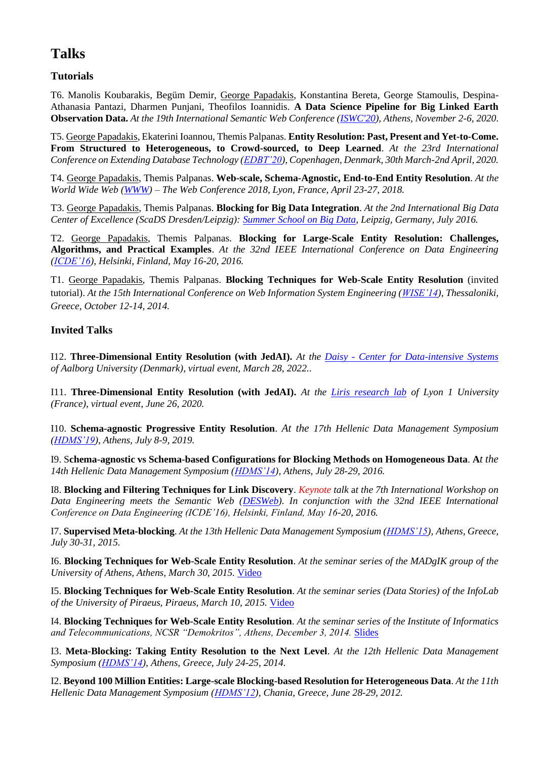### **Talks**

#### **Tutorials**

T6. Manolis Koubarakis, Begüm Demir, George Papadakis, Konstantina Bereta, George Stamoulis, Despina-Athanasia Pantazi, Dharmen Punjani, Theofilos Ioannidis. **A Data Science Pipeline for Big Linked Earth Observation Data.** *At the 19th International Semantic Web Conference [\(ISWC'20\)](https://iswc2020.semanticweb.org/), Athens, November 2-6, 2020*.

T5. George Papadakis, Ekaterini Ioannou, Themis Palpanas. **Entity Resolution: Past, Present and Yet-to-Come. From Structured to Heterogeneous, to Crowd-sourced, to Deep Learned**. *At the 23rd International Conference on Extending Database Technology [\(EDBT'20\)](https://diku-dk.github.io/edbticdt2020/), Copenhagen, Denmark, 30th March-2nd April, 2020.*

T4. George Papadakis, Themis Palpanas. **Web-scale, Schema-Agnostic, End-to-End Entity Resolution**. *At the World Wide Web [\(WWW\)](https://www2018.thewebconf.org/) – The Web Conference 2018, Lyon, France, April 23-27, 2018.*

T3. George Papadakis, Themis Palpanas. **Blocking for Big Data Integration**. *At the 2nd International Big Data Center of Excellence (ScaDS Dresden/Leipzig): [Summer School on Big Data,](https://www.scads.de/de/summerschool-2016) Leipzig, Germany, July 2016.*

T2. George Papadakis, Themis Palpanas. **Blocking for Large-Scale Entity Resolution: Challenges, Algorithms, and Practical Examples**. *At the 32nd IEEE International Conference on Data Engineering [\(ICDE'16\)](http://icde2016.fi/), Helsinki, Finland, May 16-20, 2016.*

T1. George Papadakis, Themis Palpanas. **Blocking Techniques for Web-Scale Entity Resolution** (invited tutorial). *At the 15th International Conference on Web Information System Engineering [\(WISE'14\)](http://delab.csd.auth.gr/wise2014/), Thessaloniki, Greece, October 12-14, 2014.*

#### **Invited Talks**

I12. **Three-Dimensional Entity Resolution (with JedAI).** *At the Daisy - [Center for Data-intensive Systems](https://www.daisy.aau.dk/) of Aalborg University (Denmark), virtual event, March 28, 2022..*

I11. **Three-Dimensional Entity Resolution (with JedAI).** *At the [Liris research lab](https://liris.cnrs.fr/) of Lyon 1 University (France), virtual event, June 26, 2020.*

I10. **Schema-agnostic Progressive Entity Resolution**. *At the 17th Hellenic Data Management Symposium [\(HDMS'19\)](https://hdms19.athenarc.gr/), Athens, July 8-9, 2019.*

I9. S**chema-agnostic vs Schema-based Configurations for Blocking Methods on Homogeneous Data**. **A***t the 14th Hellenic Data Management Symposium [\(HDMS'14\)](http://hdms16.aueb.gr/index.php/en/), Athens, July 28-29, 2016.*

I8. **Blocking and Filtering Techniques for Link Discovery**. *Keynote talk* a*t the 7th International Workshop on Data Engineering meets the Semantic Web [\(DESWeb\)](http://desweb2016.imis.athena-innovation.gr/). In conjunction with the 32nd IEEE International Conference on Data Engineering (ICDE'16), Helsinki, Finland, May 16-20, 2016.*

I7. **Supervised Meta-blocking**. *At the 13th Hellenic Data Management Symposium [\(HDMS'15\)](http://hdms15.cs.aueb.gr/), Athens, Greece, July 30-31, 2015.*

I6. **Blocking Techniques for Web-Scale Entity Resolution**. *At the seminar series of the MADgIK group of the University of Athens, Athens, March 30, 2015.* [Video](https://www.youtube.com/watch?v=EQP-g3Ikpkc)

I5. **Blocking Techniques for Web-Scale Entity Resolution**. *At the seminar series (Data Stories) of the InfoLab*  of the University of Piraeus, Piraeus, March 10, 2015. [Video](https://www.youtube.com/watch?v=EQP-g3Ikpkc)

I4. **Blocking Techniques for Web-Scale Entity Resolution**. *At the seminar series of the Institute of Informatics and Telecommunications, NCSR "Demokritos", Athens, December 3, 2014.* [Slides](https://iit.demokritos.gr/news/blocking-techniques-web-scale-entity-resolution)

I3. **Meta-Blocking: Taking Entity Resolution to the Next Level**. *At the 12th Hellenic Data Management Symposium [\(HDMS'14\)](http://hdms14.di.uoa.gr/), Athens, Greece, July 24-25, 2014.*

I2. **Beyond 100 Million Entities: Large-scale Blocking-based Resolution for Heterogeneous Data**. *At the 11th Hellenic Data Management Symposium [\(HDMS'12\)](http://hdms2012.softnet.tuc.gr/), Chania, Greece, June 28-29, 2012.*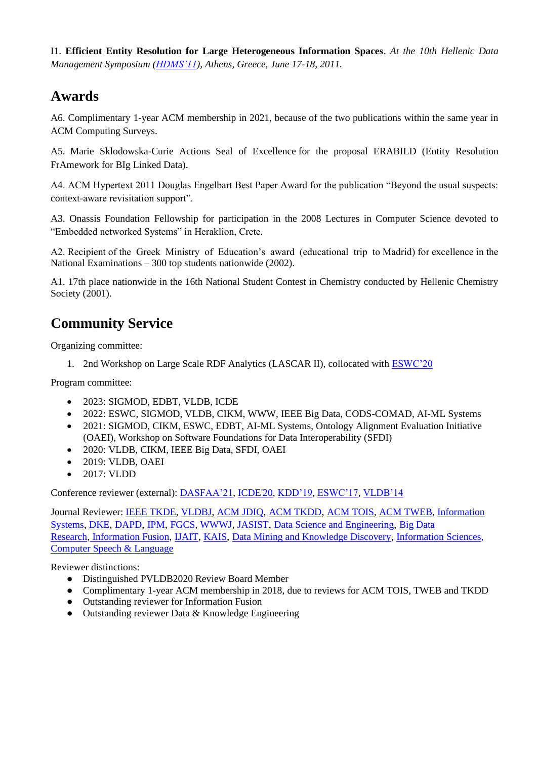I1. **Efficient Entity Resolution for Large Heterogeneous Information Spaces**. *At the 10th Hellenic Data Management Symposium [\(HDMS'11\)](http://hdms11.di.uoa.gr/), Athens, Greece, June 17-18, 2011.*

### **Awards**

A6. Complimentary 1-year ACM membership in 2021, because of the two publications within the same year in ACM Computing Surveys.

A5. [Marie Sklodowska-Curie Actions Seal of Excellence](https://gpapadis.files.wordpress.com/2015/08/seal-of-excellence.pdf) for the proposal ERABILD (Entity Resolution FrAmework for BIg Linked Data).

A4. ACM Hypertext 2011 Douglas Engelbart Best Paper Award for the publication "Beyond the usual suspects: context-aware revisitation support".

A3. Onassis Foundation Fellowship for participation in the 2008 Lectures in Computer Science devoted to "Embedded networked Systems" in Heraklion, Crete.

A2. Recipient of the Greek Ministry of Education's award (educational trip to Madrid) for excellence in the National Examinations – 300 top students nationwide (2002).

A1. 17th place nationwide in the 16th National Student Contest in Chemistry conducted by Hellenic Chemistry Society (2001).

# **Community Service**

Organizing committee:

1. 2nd Workshop on Large Scale RDF Analytics (LASCAR II), collocated with [ESWC'20](https://2020.eswc-conferences.org/)

Program committee:

- 2023: SIGMOD, EDBT, VLDB, ICDE
- 2022: ESWC, SIGMOD, VLDB, CIKM, WWW, IEEE Big Data, CODS-COMAD, AI-ML Systems
- 2021: SIGMOD, CIKM, ESWC, EDBT, AI-ML Systems, Ontology Alignment Evaluation Initiative (OAEI), Workshop on Software Foundations for Data Interoperability (SFDI)
- 2020: VLDB, CIKM, IEEE Big Data, SFDI, OAEI
- 2019: VLDB, OAEI
- 2017: VLDD

Conference reviewer (external): [DASFAA'21,](http://dm.iis.sinica.edu.tw/DASFAA2021/index.html) [ICDE'20,](https://www.utdallas.edu/icde/) [KDD'19,](https://www.kdd.org/kdd2019/) [ESWC'17,](http://2017.eswc-conferences.org/) [VLDB'14](https://www.vldb.org/2014/)

Journal Reviewer: [IEEE TKDE,](http://www.computer.org/web/tkde) [VLDBJ,](https://www.springer.com/journal/778) [ACM JDIQ](https://jdiq.acm.org/), [ACM TKDD](https://tkdd.acm.org/), [ACM TOIS,](https://tois.acm.org/) [ACM TWEB,](http://tweb.acm.org/) [Information](https://www.journals.elsevier.com/information-systems/)  [Systems](https://www.journals.elsevier.com/information-systems/), [DKE](https://www.journals.elsevier.com/data-and-knowledge-engineering/), [DAPD](http://www.springer.com/computer/database+management+%26+information+retrieval/journal/10619), [IPM](https://www.journals.elsevier.com/information-processing-and-management/), [FGCS,](https://www.journals.elsevier.com/future-generation-computer-systems) [WWWJ](http://www.springer.com/computer/database+management+%26+information+retrieval/journal/11280), [JASIST](http://onlinelibrary.wiley.com/journal/10.1002/(ISSN)2330-1643), [Data Science and Engineering](https://www.springer.com/computer/database+management+%26+information+retrieval/journal/41019), [Big Data](https://www.journals.elsevier.com/big-data-research)  [Research](https://www.journals.elsevier.com/big-data-research), [Information Fusion](https://www.journals.elsevier.com/information-fusion), [IJAIT](https://www.worldscientific.com/worldscinet/ijait), [KAIS](https://link.springer.com/journal/10115), [Data](https://link.springer.com/journal/10618) Mining and Knowledge Discovery, [Information](https://www.journals.elsevier.com/information-sciences) Sciences, [Computer Speech & Language](https://www.journals.elsevier.com/computer-speech-and-language)

Reviewer distinctions:

- Distinguished PVLDB2020 Review Board Member
- Complimentary 1-year ACM membership in 2018, due to reviews for ACM TOIS, TWEB and TKDD
- Outstanding reviewer for Information Fusion
- Outstanding reviewer Data & Knowledge Engineering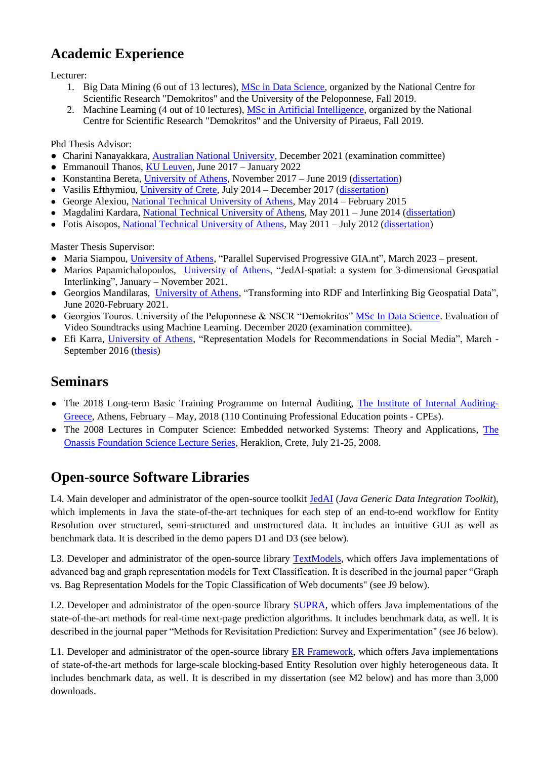# **Academic Experience**

Lecturer:

- 1. Big Data Mining (6 out of 13 lectures), [MSc in Data Science,](http://msc-data-science.iit.demokritos.gr/) organized by the National Centre for Scientific Research "Demokritos" and the University of the Peloponnese, Fall 2019.
- 2. Machine Learning (4 out of 10 lectures)[, MSc in Artificial Intelligence,](http://msc-ai.iit.demokritos.gr/) organized by the National Centre for Scientific Research "Demokritos" and the University of Piraeus, Fall 2019.

Phd Thesis Advisor:

- Charini Nanayakkara, [Australian National University,](https://www.anu.edu.au/) December 2021 (examination committee)
- Emmanouil Thanos, [KU Leuven,](https://www.kuleuven.be/english/) June 2017 January 2022
- Konstantina Bereta[, University of Athens,](http://di.uoa.gr/eng) November 2017 June 2019 [\(dissertation\)](https://www.didaktorika.gr/eadd/handle/10442/46606)
- Vasilis Efthymiou, [University of Crete,](http://www.en.uoc.gr/) July 2014 December 2017 [\(dissertation\)](http://csd.uoc.gr/~vefthym/DissertationEfthymiou.pdf)
- George Alexiou[, National Technical University of Athens,](http://www.ntua.gr/index_en.html) May 2014 February 2015
- Magdalini Kardara, [National Technical University of Athens,](http://www.ntua.gr/index_en.html) May 2011 June 2014 [\(dissertation\)](http://artemis-new.cslab.ece.ntua.gr:8080/jspui/bitstream/123456789/7690/1/PD2016-0010.pdf)
- Fotis Aisopos, [National Technical University of Athens,](http://www.ntua.gr/index_en.html) May 2011 July 2012 [\(dissertation\)](http://artemis-new.cslab.ece.ntua.gr:8080/jspui/bitstream/123456789/6413/1/PD2012-0030.pdf)

Master Thesis Supervisor:

- Maria Siampou, [University of Athens,](http://di.uoa.gr/eng) "Parallel Supervised Progressive GIA.nt", March 2023 present.
- Marios Papamichalopoulos, *University of Athens*, "JedAI-spatial: a system for 3-dimensional Geospatial Interlinking", January – November 2021.
- Georgios Mandilaras, [University of Athens,](http://di.uoa.gr/eng) "Transforming into RDF and Interlinking Βig Geospatial Data", June 2020-February 2021.
- Georgios Touros. University of the Peloponnese & NSCR "Demokritos" [MSc In Data Science.](http://msc-data-science.iit.demokritos.gr/) Evaluation of Video Soundtracks using Machine Learning. December 2020 (examination committee).
- Efi Karra, [University of Athens,](http://di.uoa.gr/eng) "Representation Models for Recommendations in Social Media", March September 2016 [\(thesis\)](https://pergamos.lib.uoa.gr/uoa/dl/frontend/file/lib/default/data/1321059/theFile)

### **Seminars**

- The 2018 Long-term Basic Training Programme on Internal Auditing, [The Institute of Internal Auditing-](https://www.hiia.gr/)[Greece,](https://www.hiia.gr/) Athens, February – May, 2018 (110 Continuing Professional Education points - CPEs).
- • [The](http://www.forth.gr/onassis/index.php?show=lectures) 2008 Lectures in Computer Science: Embedded networked Systems: Theory and Applications, The [Onassis Foundation Science Lecture Series,](http://www.forth.gr/onassis/index.php?show=lectures) Heraklion, Crete, July 21-25, 2008.

# **Open-source Software Libraries**

L4. Main developer and administrator of the open-source toolkit [JedAI](http://jedai.scify.org/) (*Java Generic Data Integration Toolkit*), which implements in Java the state-of-the-art techniques for each step of an end-to-end workflow for Entity Resolution over structured, semi-structured and unstructured data. It includes an intuitive GUI as well as benchmark data. It is described in the demo papers D1 and D3 (see below).

L3. Developer and administrator of the open-source library [TextModels,](https://sourceforge.net/projects/textmodels/) which offers Java implementations of advanced bag and graph representation models for Text Classification. It is described in the journal paper "Graph vs. Bag Representation Models for the Topic Classification of Web documents" (see J9 below).

L2. Developer and administrator of the open-source library [SUPRA,](https://sourceforge.net/p/supraproject/) which offers Java implementations of the state-of-the-art methods for real-time next-page prediction algorithms. It includes benchmark data, as well. It is described in the journal paper "Methods for Revisitation Prediction: Survey and Experimentation" (see J6 below).

L1. Developer and administrator of the open-source library [ER Framework,](https://sourceforge.net/projects/erframework/) which offers Java implementations of state-of-the-art methods for large-scale blocking-based Entity Resolution over highly heterogeneous data. It includes benchmark data, as well. It is described in my dissertation (see M2 below) and has more than 3,000 downloads.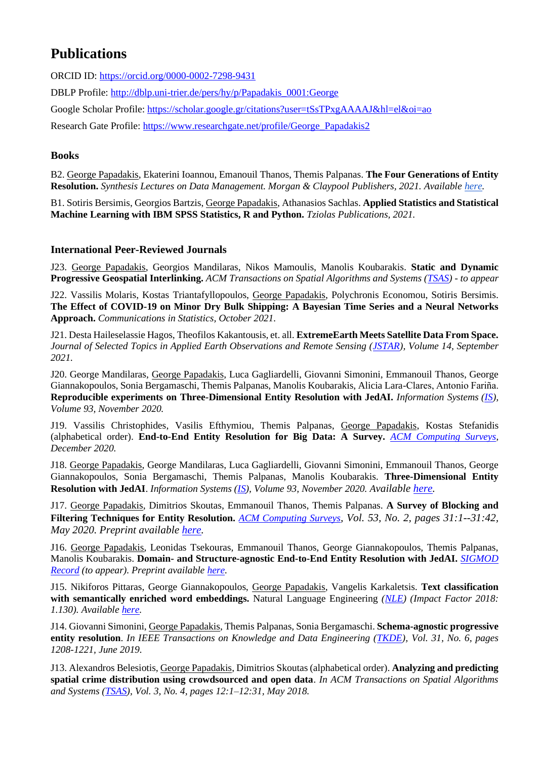# **Publications**

[ORCID ID: https://orcid.org/0000-0002-7298-9431](https://orcid.org/0000-0002-7298-9431)

[DBLP Profile: http://dblp.uni-trier.de/pers/hy/p/Papadakis\\_0001:George](http://dblp.uni-trier.de/pers/hy/p/Papadakis_0001:George)

[Google Scholar Profile: https://scholar.google.gr/citations?user=tSsTPxgAAAAJ&hl=el&oi=ao](https://scholar.google.gr/citations?user=tSsTPxgAAAAJ&hl=el&oi=ao)

[Research Gate Profile:](http://www.researchgate.net/profile/George_Papadakis2/) [https://www.researchgate.net/profile/George\\_Papadakis2](https://www.researchgate.net/profile/George_Papadakis2)

#### **Books**

B2. George Papadakis, Ekaterini Ioannou, Emanouil Thanos, Themis Palpanas. **The Four Generations of Entity Resolution.** *Synthesis Lectures on Data Management. Morgan & Claypool Publishers, 2021. Available [here.](https://www.morganclaypool.com/doi/abs/10.2200/S01067ED1V01Y202012DTM064)*

B1. Sotiris Bersimis, Georgios Bartzis, George Papadakis, Athanasios Sachlas. **Applied Statistics and Statistical Machine Learning with IBM SPSS Statistics, R and Python.** *Tziolas Publications, 2021.*

#### **International Peer-Reviewed Journals**

J23. George Papadakis, Georgios Mandilaras, Nikos Mamoulis, Manolis Koubarakis. **Static and Dynamic Progressive Geospatial Interlinking.** *ACM Transactions on Spatial Algorithms and Systems [\(TSAS\)](https://tsas.acm.org/) - to appear*

J22. Vassilis Molaris, Kostas Triantafyllopoulos, George Papadakis, Polychronis Economou, Sotiris Bersimis. **The Effect of COVID-19 on Minor Dry Bulk Shipping: A Bayesian Time Series and a Neural Networks Approach.** *Communications in Statistics, October 2021.*

J21. Desta Haileselassie Hagos, Theofilos Kakantousis, et. all. **ExtremeEarth Meets Satellite Data From Space.** *Journal of Selected Topics in Applied Earth Observations and Remote Sensing [\(JSTAR\)](https://ieeexplore.ieee.org/xpl/RecentIssue.jsp?punumber=4609443), Volume 14, September 2021.*

J20. George Mandilaras, George Papadakis, Luca Gagliardelli, Giovanni Simonini, Emmanouil Thanos, George Giannakopoulos, Sonia Bergamaschi, Themis Palpanas, Manolis Koubarakis, Alicia Lara-Clares, Antonio Fariña. **Reproducible experiments on Three-Dimensional Entity Resolution with JedAI.** *Information Systems [\(IS\)](https://www.journals.elsevier.com/information-systems/), Volume 93, November 2020.*

J19. Vassilis Christophides, Vasilis Efthymiou, Themis Palpanas, George Papadakis, Kostas Stefanidis (alphabetical order). **End-to-End Entity Resolution for Big Data: A Survey.** *[ACM Computing Surveys,](https://dl.acm.org/journal/csur) December 2020.*

J18. George Papadakis, George Mandilaras, Luca Gagliardelli, Giovanni Simonini, Emmanouil Thanos, George Giannakopoulos, Sonia Bergamaschi, Themis Palpanas, Manolis Koubarakis. **Three-Dimensional Entity Resolution with JedAI**. *Information Systems [\(IS\)](https://www.journals.elsevier.com/information-systems/), Volume 93, November 2020. Available [here.](https://github.com/scify/JedAIToolkit/blob/master/documentation/JedAI_3D_ER.pdf)*

J17. George Papadakis, Dimitrios Skoutas, Emmanouil Thanos, Themis Palpanas. **A Survey of Blocking and Filtering Techniques for Entity Resolution.** *[ACM Computing Surveys](https://dl.acm.org/journal/csur), Vol. 53, No. 2, pages 31:1--31:42, May 2020. Preprint available [here.](https://arxiv.org/abs/1905.06167)* 

J16. George Papadakis, Leonidas Tsekouras, Emmanouil Thanos, George Giannakopoulos, Themis Palpanas, Manolis Koubarakis. **Domain- and Structure-agnostic End-to-End Entity Resolution with JedAI.** *[SIGMOD](https://sigmodrecord.org/)  [Record](https://sigmodrecord.org/) (to appear). Preprint availabl[e here.](http://helios.mi.parisdescartes.fr/~themisp/publications/sigrec19-jedai.pdf)*

J15. Nikiforos Pittaras, George Giannakopoulos, George Papadakis, Vangelis Karkaletsis. **Text classification with semantically enriched word embeddings.** Natural Language Engineering *[\(NLE\)](https://www.cambridge.org/core/journals/natural-language-engineering) (Impact Factor 2018: 1.130). Available [here.](https://www.cambridge.org/core/journals/natural-language-engineering/article/text-classification-with-semantically-enriched-word-embeddings/44B2DCAED3F3058E09A35B01BF0DCF25)* 

J14. Giovanni Simonini, George Papadakis, Themis Palpanas, Sonia Bergamaschi. **Schema-agnostic progressive entity resolution**. *In IEEE Transactions on Knowledge and Data Engineering [\(TKDE\)](http://www.computer.org/web/tkde), Vol. 31, No. 6, pages 1208-1221, June 2019.*

J13. Alexandros Belesiotis, George Papadakis, Dimitrios Skoutas (alphabetical order). **Analyzing and predicting spatial crime distribution using crowdsourced and open data**. *In ACM Transactions on Spatial Algorithms and Systems [\(TSAS\)](https://tsas.acm.org/), Vol. 3, No. 4, pages 12:1–12:31, May 2018.*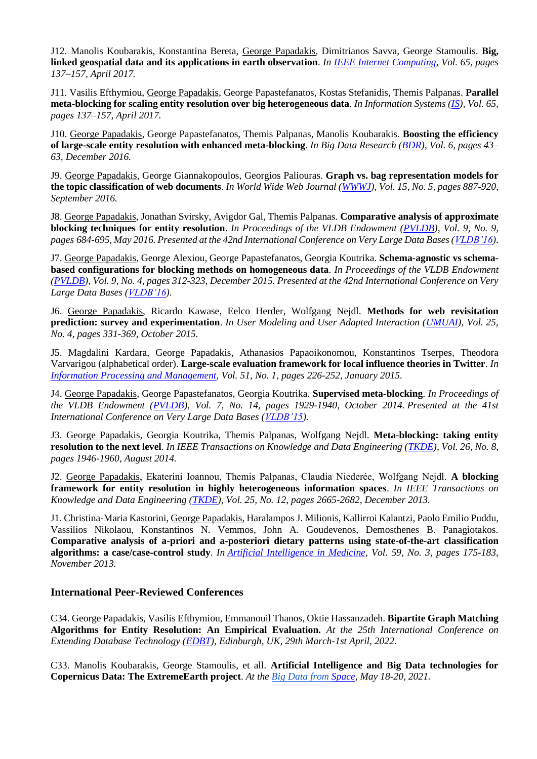J12. Manolis Koubarakis, Konstantina Bereta, George Papadakis, Dimitrianos Savva, George Stamoulis. **Big, linked geospatial data and its applications in earth observation**. *In [IEEE Internet Computing,](http://ieeexplore.ieee.org/xpl/RecentIssue.jsp?punumber=4236) Vol. 65, pages 137–157, April 2017.*

J11. Vasilis Efthymiou, George Papadakis, George Papastefanatos, Kostas Stefanidis, Themis Palpanas. **Parallel meta-blocking for scaling entity resolution over big heterogeneous data**. *In Information Systems [\(IS\)](https://www.journals.elsevier.com/information-systems/), Vol. 65, pages 137–157, April 2017.*

J10. George Papadakis, George Papastefanatos, Themis Palpanas, Manolis Koubarakis. **Boosting the efficiency of large-scale entity resolution with enhanced meta-blocking**. *In Big Data Research [\(BDR\)](https://www.journals.elsevier.com/big-data-research/), Vol. 6, pages 43– 63, December 2016.*

J9. George Papadakis, George Giannakopoulos, Georgios Paliouras. **Graph vs. bag representation models for the topic classification of web documents**. *In World Wide Web Journal [\(WWWJ\)](http://link.springer.com/journal/11280), Vol. 15, No. 5, pages 887-920, September 2016.*

J8. George Papadakis, Jonathan Svirsky, Avigdor Gal, Themis Palpanas. **Comparative analysis of approximate blocking techniques for entity resolution**. *In Proceedings of the VLDB Endowment [\(PVLDB\)](http://www.vldb.org/pvldb), Vol. 9, No. 9, pages 684-695, May 2016. Presented at the 42nd International Conference on Very Large Data Bases [\(VLDB'16\)](http://vldb2016.persistent.com/)*.

J7. George Papadakis, George Alexiou, George Papastefanatos, Georgia Koutrika. **Schema-agnostic vs schemabased configurations for blocking methods on homogeneous data**. *In Proceedings of the VLDB Endowment [\(PVLDB\)](http://www.vldb.org/pvldb), Vol. 9, No. 4, pages 312-323, December 2015. Presented at the 42nd International Conference on Very Large Data Bases [\(VLDB'16\)](http://vldb2016.persistent.com/).*

J6. George Papadakis, Ricardo Kawase, Eelco Herder, Wolfgang Nejdl. **Methods for web revisitation prediction: survey and experimentation**. *In User Modeling and User Adapted Interaction [\(UMUAI\)](http://link.springer.com/journal/11257), Vol. 25, No. 4, pages 331-369, October 2015.*

J5. Magdalini Kardara, George Papadakis, Athanasios Papaoikonomou, Konstantinos Tserpes, Theodora Varvarigou (alphabetical order). **Large-scale evaluation framework for local influence theories in Twitter**. *In [Information Processing and Management,](http://www.journals.elsevier.com/information-processing-and-management) Vol. 51, No. 1, pages 226-252, January 2015.* 

J4. George Papadakis, George Papastefanatos, Georgia Koutrika. **Supervised meta-blocking**. *In Proceedings of the VLDB Endowment [\(PVLDB\)](http://www.vldb.org/pvldb), Vol. 7, No. 14, pages 1929-1940, October 2014. Presented at the 41st International Conference on Very Large Data Bases [\(VLDB'15\)](http://www.vldb.org/2015).* 

J3. George Papadakis, Georgia Koutrika, Themis Palpanas, Wolfgang Nejdl. **Meta-blocking: taking entity resolution to the next level**. *In IEEE Transactions on Knowledge and Data Engineering [\(TKDE\)](http://www.computer.org/web/tkde), Vol. 26, No. 8, pages 1946-1960, August 2014.* 

J2. George Papadakis, Ekaterini Ioannou, Themis Palpanas, Claudia Niederée, Wolfgang Nejdl. **A blocking framework for entity resolution in highly heterogeneous information spaces**. *In IEEE Transactions on Knowledge and Data Engineering [\(TKDE\)](http://www.computer.org/web/tkde), Vol. 25, No. 12, pages 2665-2682, December 2013.*

J1. Christina-Maria Kastorini, George Papadakis, Haralampos J. Milionis, Kallirroi Kalantzi, Paolo Emilio Puddu, Vassilios Nikolaou, Konstantinos N. Vemmos, John A. Goudevenos, Demosthenes B. Panagiotakos. **Comparative analysis of a-priori and a-posteriori dietary patterns using state-of-the-art classification algorithms: a case/case-control study**. *In [Artificial Intelligence in Medicine,](http://www.journals.elsevier.com/artificial-intelligence-in-medicine) Vol. 59, No. 3, pages 175-183, November 2013.* 

#### **International Peer-Reviewed Conferences**

C34. George Papadakis, Vasilis Efthymiou, Emmanouil Thanos, Oktie Hassanzadeh. **Bipartite Graph Matching Algorithms for Entity Resolution: An Empirical Evaluation.** *At the 25th International Conference on Extending Database Technology [\(EDBT\)](https://conferences.inf.ed.ac.uk/edbticdt2022/), Edinburgh, UK, 29th March-1st April, 2022.*

C33. Manolis Koubarakis, George Stamoulis, et all. **Artificial Intelligence and Big Data technologies for Copernicus Data: The ExtremeEarth project**. *At the [Big Data from Space,](https://www.bigdatafromspace2021.org/) May 18-20, 2021.*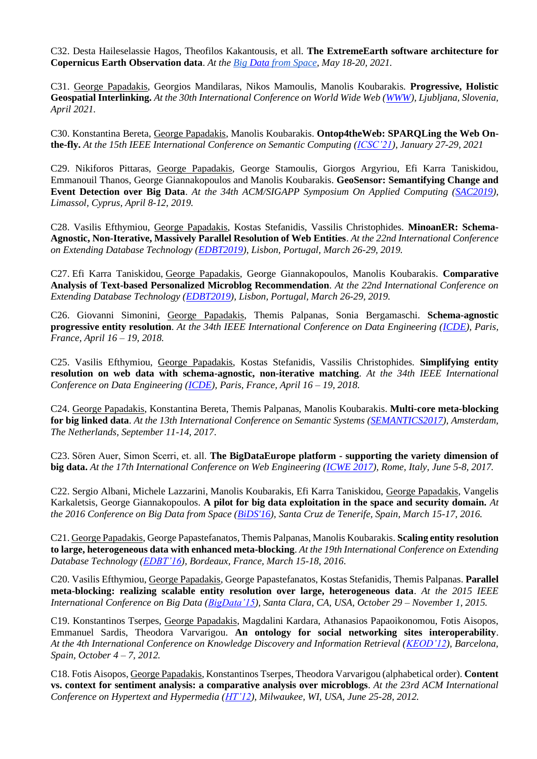C32. Desta Haileselassie Hagos, Theofilos Kakantousis, et all. **The ExtremeEarth software architecture for Copernicus Earth Observation data**. *At th[e Big Data](https://www.bigdatafromspace2021.org/) [from Space,](https://www.bigdatafromspace2021.org/) May 18-20, 2021.*

C31. George Papadakis, Georgios Mandilaras, Nikos Mamoulis, Manolis Koubarakis. **Progressive, Holistic Geospatial Interlinking.** *At the 30th International Conference on World Wide Web [\(WWW\)](https://www2021.thewebconf.org/), Ljubljana, Slovenia, April 2021.*

C30. Konstantina Bereta, George Papadakis, Manolis Koubarakis. **Ontop4theWeb: SPARQLing the Web Onthe-fly.** *At the 15th IEEE International Conference on Semantic Computing [\(ICSC'21\)](https://www.ieee-icsc.org/), January 27-29, 2021*

C29. Nikiforos Pittaras, George Papadakis, George Stamoulis, Giorgos Argyriou, Efi Karra Taniskidou, Emmanouil Thanos, George Giannakopoulos and Manolis Koubarakis. **GeoSensor: Semantifying Change and**  Event Detection over Big Data. At the 34th ACM/SIGAPP Symposium On Applied Computing [\(SAC2019\)](https://www.sigapp.org/sac/sac2019/), *Limassol, Cyprus, April 8-12, 2019.*

C28. Vasilis Efthymiou, George Papadakis, Kostas Stefanidis, Vassilis Christophides. **MinoanER: Schema-Agnostic, Non-Iterative, Massively Parallel Resolution of Web Entities**. *At the 22nd International Conference on Extending Database Technology [\(EDBT2019\)](http://edbticdt2019.inesc-id.pt/), Lisbon, Portugal, March 26-29, 2019.*

C27. Efi Karra Taniskidou, George Papadakis, George Giannakopoulos, Manolis Koubarakis. **Comparative Analysis of Text-based Personalized Microblog Recommendation**. *At the 22nd International Conference on Extending Database Technology [\(EDBT2019\)](http://edbticdt2019.inesc-id.pt/), Lisbon, Portugal, March 26-29, 2019.*

C26. Giovanni Simonini, George Papadakis, Themis Palpanas, Sonia Bergamaschi. **Schema-agnostic progressive entity resolution**. *At the 34th IEEE International Conference on Data Engineering [\(ICDE\)](https://icde2018.org/), Paris, France, April 16 – 19, 2018.*

C25. Vasilis Efthymiou, George Papadakis, Kostas Stefanidis, Vassilis Christophides. **Simplifying entity resolution on web data with schema-agnostic, non-iterative matching**. *At the 34th IEEE International Conference on Data Engineering [\(ICDE\)](https://icde2018.org/), Paris, France, April 16 – 19, 2018.*

C24. George Papadakis, Konstantina Bereta, Themis Palpanas, Manolis Koubarakis. **Multi-core meta-blocking for big linked data**. *At the 13th International Conference on Semantic Systems [\(SEMANTICS2017\)](https://2017.semantics.cc/), Amsterdam, The Netherlands, September 11-14, 2017*.

C23. Sören Auer, Simon Scerri, et. all. **The BigDataEurope platform - supporting the variety dimension of big data.** *At the 17th International Conference on Web Engineering [\(ICWE 2017\)](http://icwe2017.webengineering.org/), Rome, Italy, June 5-8, 2017.*

C22. Sergio Albani, Michele Lazzarini, Manolis Koubarakis, Efi Karra Taniskidou, George Papadakis, Vangelis Karkaletsis, George Giannakopoulos. **A pilot for big data exploitation in the space and security domain.** *At the 2016 Conference on Big Data from Space [\(BiDS'16\)](http://congrexprojects.com/2016-events/16m05/introduction), Santa Cruz de Tenerife, Spain, March 15-17, 2016.*

C21. George Papadakis, George Papastefanatos, Themis Palpanas, Manolis Koubarakis. **Scaling entity resolution to large, heterogeneous data with enhanced meta-blocking**. *At the 19th International Conference on Extending Database Technology [\(EDBT'16\)](http://edbticdt2016.labri.fr/), Bordeaux, France, March 15-18, 2016*.

C20. Vasilis Efthymiou, George Papadakis, George Papastefanatos, Kostas Stefanidis, Themis Palpanas. **Parallel meta-blocking: realizing scalable entity resolution over large, heterogeneous data**. *At the 2015 IEEE International Conference on Big Data [\(BigData'15\)](http://cci.drexel.edu/bigdata/bigdata2015/), Santa Clara, CA, USA, October 29 – November 1, 2015.*

C19. Konstantinos Tserpes, George Papadakis, Magdalini Kardara, Athanasios Papaoikonomou, Fotis Aisopos, Emmanuel Sardis, Theodora Varvarigou. **An ontology for social networking sites interoperability**. *At the 4th International Conference on Knowledge Discovery and Information Retrieval [\(KEOD'12\)](http://software.ucv.ro/Wims12), Barcelona, Spain, October 4 – 7, 2012.*

C18. Fotis Aisopos, George Papadakis, Konstantinos Tserpes, Theodora Varvarigou (alphabetical order). **Content vs. context for sentiment analysis: a comparative analysis over microblogs**. *At the 23rd ACM International Conference on Hypertext and Hypermedia [\(HT'12\)](http://www.ht2012.org/), Milwaukee, WI, USA, June 25-28, 2012.*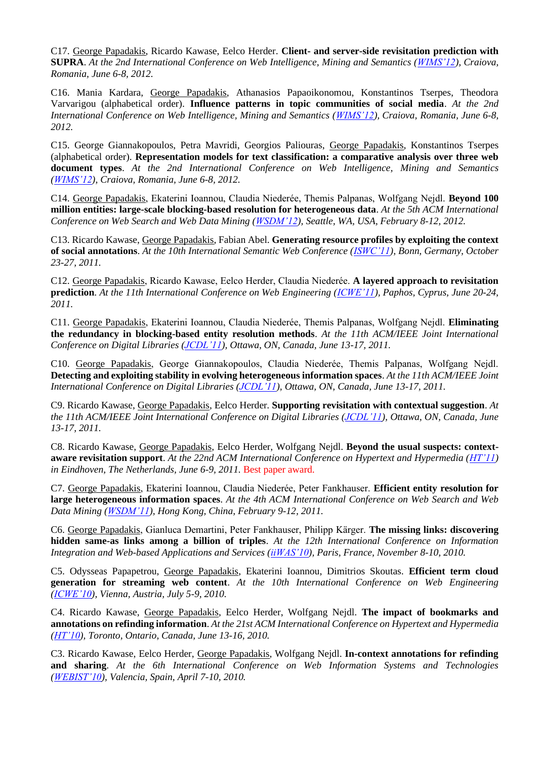C17. George Papadakis, Ricardo Kawase, Eelco Herder. **Client- and server-side revisitation prediction with SUPRA**. *At the 2nd International Conference on Web Intelligence, Mining and Semantics [\(WIMS'12\)](http://software.ucv.ro/Wims12), Craiova, Romania, June 6-8, 2012.*

C16. Mania Kardara, George Papadakis, Athanasios Papaoikonomou, Konstantinos Tserpes, Theodora Varvarigou (alphabetical order). **Influence patterns in topic communities of social media**. *At the 2nd International Conference on Web Intelligence, Mining and Semantics [\(WIMS'12\)](http://software.ucv.ro/Wims12), Craiova, Romania, June 6-8, 2012.* 

C15. George Giannakopoulos, Petra Mavridi, Georgios Paliouras, George Papadakis, Konstantinos Tserpes (alphabetical order). **Representation models for text classification: a comparative analysis over three web document types**. *At the 2nd International Conference on Web Intelligence, Mining and Semantics [\(WIMS'12\)](http://software.ucv.ro/Wims12), Craiova, Romania, June 6-8, 2012.*

C14. George Papadakis, Ekaterini Ioannou, Claudia Niederée, Themis Palpanas, Wolfgang Nejdl. **Beyond 100 million entities: large-scale blocking-based resolution for heterogeneous data**. *At the 5th ACM International Conference on Web Search and Web Data Mining [\(WSDM'12\)](http://www.wsdm2012.org/), Seattle, WA, USA, February 8-12, 2012.*

C13. Ricardo Kawase, George Papadakis, Fabian Abel. **Generating resource profiles by exploiting the context of social annotations**. *At the 10th International Semantic Web Conference [\(ISWC'11\)](http://iswc2011.semanticweb.org/), Bonn, Germany, October 23-27, 2011.*

C12. George Papadakis, Ricardo Kawase, Eelco Herder, Claudia Niederée. **A layered approach to revisitation prediction**. *At the 11th International Conference on Web Engineering [\(ICWE'11\)](http://icwe2011.webengineering.org/), Paphos, Cyprus, June 20-24, 2011.*

C11. George Papadakis, Ekaterini Ioannou, Claudia Niederée, Themis Palpanas, Wolfgang Nejdl. **Eliminating the redundancy in blocking-based entity resolution methods**. *At the 11th ACM/IEEE Joint International Conference on Digital Libraries [\(JCDL'11\)](http://www.jcdl.org/archived-conf-sites/jcdl2011), Ottawa, ON, Canada, June 13-17, 2011.*

C10. George Papadakis, George Giannakopoulos, Claudia Niederée, Themis Palpanas, Wolfgang Nejdl. **Detecting and exploiting stability in evolving heterogeneous information spaces**. *At the 11th ACM/IEEE Joint International Conference on Digital Libraries [\(JCDL'11\)](http://www.jcdl.org/archived-conf-sites/jcdl2011), Ottawa, ON, Canada, June 13-17, 2011.*

C9. Ricardo Kawase, George Papadakis, Eelco Herder. **Supporting revisitation with contextual suggestion**. *At the 11th ACM/IEEE Joint International Conference on Digital Libraries [\(JCDL'11\)](http://www.jcdl.org/archived-conf-sites/jcdl2011), Ottawa, ON, Canada, June 13-17, 2011.*

C8. Ricardo Kawase, George Papadakis, Eelco Herder, Wolfgang Nejdl. **Beyond the usual suspects: contextaware revisitation support**. *At the 22nd ACM International Conference on Hypertext and Hypermedia [\(HT'11\)](http://www.ht2011.org/) in Eindhoven, The Netherlands, June 6-9, 2011.* Best paper award.

C7. George Papadakis, Ekaterini Ioannou, Claudia Niederée, Peter Fankhauser. **Efficient entity resolution for large heterogeneous information spaces**. *At the 4th ACM International Conference on Web Search and Web Data Mining [\(WSDM'11\)](http://www.wsdm2011.org/), Hong Kong, China, February 9-12, 2011.*

C6. George Papadakis, Gianluca Demartini, Peter Fankhauser, Philipp Kärger. **The missing links: discovering hidden same-as links among a billion of triples**. *At the 12th International Conference on Information Integration and Web-based Applications and Services [\(iiWAS'10\)](http://www.iiwas.org/conferences/iiwas2010), Paris, France, November 8-10, 2010.*

C5. Odysseas Papapetrou, George Papadakis, Ekaterini Ioannou, Dimitrios Skoutas. **Efficient term cloud generation for streaming web content**. *At the 10th International Conference on Web Engineering [\(ICWE'10\)](http://icwe2010.webengineering.org/), Vienna, Austria, July 5-9, 2010.*

C4. Ricardo Kawase, George Papadakis, Eelco Herder, Wolfgang Nejdl. **The impact of bookmarks and annotations on refinding information**. *At the 21st ACM International Conference on Hypertext and Hypermedia [\(HT'10\)](http://www.ht2010.org/), Toronto, Ontario, Canada, June 13-16, 2010.*

C3. Ricardo Kawase, Eelco Herder, George Papadakis, Wolfgang Nejdl. **In-context annotations for refinding and sharing**. *At the 6th International Conference on Web Information Systems and Technologies [\(WEBIST'10\)](http://www.webist.org/WEBIST2010), Valencia, Spain, April 7-10, 2010.*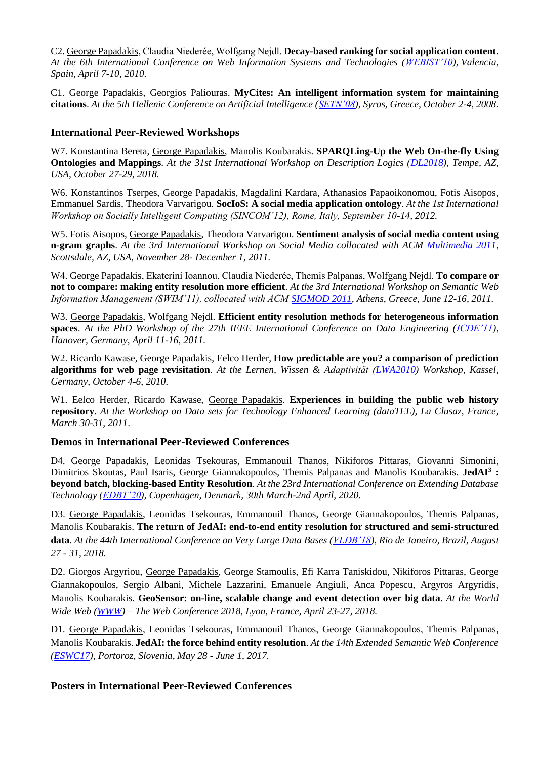C2. George Papadakis, Claudia Niederée, Wolfgang Nejdl. **Decay-based ranking for social application content**. *At the 6th International Conference on Web Information Systems and Technologies [\(WEBIST'10\)](http://www.webist.org/WEBIST2010), Valencia, Spain, April 7-10, 2010.*

C1. George Papadakis, Georgios Paliouras. **MyCites: An intelligent information system for maintaining citations**. *At the 5th Hellenic Conference on Artificial Intelligence [\(SETN'08\)](http://setn08.syros.aegean.gr/), Syros, Greece, October 2-4, 2008.*

#### **International Peer-Reviewed Workshops**

W7. Konstantina Bereta, George Papadakis, Manolis Koubarakis. **SPARQLing-Up the Web On-the-fly Using Ontologies and Mappings**. *At the 31st International Workshop on Description Logics [\(DL2018\)](http://www.dcs.bbk.ac.uk/~michael/dl2018/), Tempe, AZ, USA, October 27-29, 2018.*

W6. Konstantinos Tserpes, George Papadakis, Magdalini Kardara, Athanasios Papaoikonomou, Fotis Aisopos, Emmanuel Sardis, Theodora Varvarigou. **SocIoS: A social media application ontology**. *At the 1st International Workshop on Socially Intelligent Computing (SINCOM'12), Rome, Italy, September 10-14, 2012.*

W5. Fotis Aisopos, George Papadakis, Theodora Varvarigou. **Sentiment analysis of social media content using n-gram graphs**. *At the 3rd International Workshop on Social Media collocated with ACM [Multimedia 2011,](http://www.acmmm11.org/) Scottsdale, AZ, USA, November 28- December 1, 2011.*

W4. George Papadakis, Ekaterini Ioannou, Claudia Niederée, Themis Palpanas, Wolfgang Nejdl. **To compare or not to compare: making entity resolution more efficient**. *At the 3rd International Workshop on Semantic Web Information Management (SWIM'11), collocated with ACM [SIGMOD 2011,](http://www.sigmod2011.org/index.shtml) Athens, Greece, June 12-16, 2011.*

W3. George Papadakis, Wolfgang Nejdl. **Efficient entity resolution methods for heterogeneous information spaces**. *At the PhD Workshop of the 27th IEEE International Conference on Data Engineering [\(ICDE'11\)](http://www.icde2011.org/), Hanover, Germany, April 11-16, 2011.*

W2. Ricardo Kawase, George Papadakis, Eelco Herder, **How predictable are you? a comparison of prediction algorithms for web page revisitation**. *At the Lernen, Wissen & Adaptivität [\(LWA2010\)](https://www.kde.cs.uni-kassel.de/conf/lwa10) Workshop, Kassel, Germany, October 4-6, 2010*.

W1. Eelco Herder, Ricardo Kawase, George Papadakis. **Experiences in building the public web history repository**. *At the Workshop on Data sets for Technology Enhanced Learning (dataTEL), La Clusaz, France, March 30-31, 2011*.

#### **Demos in International Peer-Reviewed Conferences**

D4. George Papadakis, Leonidas Tsekouras, Emmanouil Thanos, Nikiforos Pittaras, Giovanni Simonini, Dimitrios Skoutas, Paul Isaris, George Giannakopoulos, Themis Palpanas and Manolis Koubarakis. **JedAI<sup>3</sup> : beyond batch, blocking-based Entity Resolution**. *At the 23rd International Conference on Extending Database Technology [\(EDBT'20\)](https://diku-dk.github.io/edbticdt2020/), Copenhagen, Denmark, 30th March-2nd April, 2020.*

D3. George Papadakis, Leonidas Tsekouras, Emmanouil Thanos, George Giannakopoulos, Themis Palpanas, Manolis Koubarakis. **The return of JedAI: end-to-end entity resolution for structured and semi-structured data**. *At the 44th International Conference on Very Large Data Bases [\(VLDB'18\)](http://vldb2018.lncc.br/), Rio de Janeiro, Brazil, August 27 - 31, 2018.*

D2. Giorgos Argyriou, George Papadakis, George Stamoulis, Efi Karra Taniskidou, Nikiforos Pittaras, George Giannakopoulos, Sergio Albani, Michele Lazzarini, Emanuele Angiuli, Anca Popescu, Argyros Argyridis, Manolis Koubarakis. **GeoSensor: on-line, scalable change and event detection over big data**. *At the World Wide Web [\(WWW\)](https://www2018.thewebconf.org/) – The Web Conference 2018, Lyon, France, April 23-27, 2018.*

D1. George Papadakis, Leonidas Tsekouras, Emmanouil Thanos, George Giannakopoulos, Themis Palpanas, Manolis Koubarakis. **JedAI: the force behind entity resolution**. *At the 14th Extended Semantic Web Conference [\(ESWC17\)](http://2017.eswc-conferences.org/), Portoroz, Slovenia, May 28 - June 1, 2017.*

#### **Posters in International Peer-Reviewed Conferences**